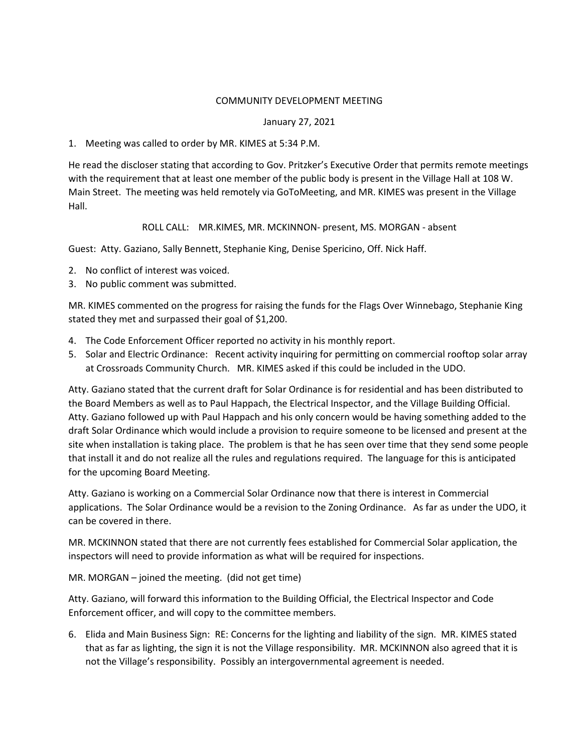## COMMUNITY DEVELOPMENT MEETING

## January 27, 2021

## 1. Meeting was called to order by MR. KIMES at 5:34 P.M.

He read the discloser stating that according to Gov. Pritzker's Executive Order that permits remote meetings with the requirement that at least one member of the public body is present in the Village Hall at 108 W. Main Street. The meeting was held remotely via GoToMeeting, and MR. KIMES was present in the Village Hall.

## ROLL CALL: MR.KIMES, MR. MCKINNON- present, MS. MORGAN - absent

Guest: Atty. Gaziano, Sally Bennett, Stephanie King, Denise Spericino, Off. Nick Haff.

- 2. No conflict of interest was voiced.
- 3. No public comment was submitted.

MR. KIMES commented on the progress for raising the funds for the Flags Over Winnebago, Stephanie King stated they met and surpassed their goal of \$1,200.

- 4. The Code Enforcement Officer reported no activity in his monthly report.
- 5. Solar and Electric Ordinance: Recent activity inquiring for permitting on commercial rooftop solar array at Crossroads Community Church. MR. KIMES asked if this could be included in the UDO.

Atty. Gaziano stated that the current draft for Solar Ordinance is for residential and has been distributed to the Board Members as well as to Paul Happach, the Electrical Inspector, and the Village Building Official. Atty. Gaziano followed up with Paul Happach and his only concern would be having something added to the draft Solar Ordinance which would include a provision to require someone to be licensed and present at the site when installation is taking place. The problem is that he has seen over time that they send some people that install it and do not realize all the rules and regulations required. The language for this is anticipated for the upcoming Board Meeting.

Atty. Gaziano is working on a Commercial Solar Ordinance now that there is interest in Commercial applications. The Solar Ordinance would be a revision to the Zoning Ordinance. As far as under the UDO, it can be covered in there.

MR. MCKINNON stated that there are not currently fees established for Commercial Solar application, the inspectors will need to provide information as what will be required for inspections.

MR. MORGAN – joined the meeting. (did not get time)

Atty. Gaziano, will forward this information to the Building Official, the Electrical Inspector and Code Enforcement officer, and will copy to the committee members.

6. Elida and Main Business Sign: RE: Concerns for the lighting and liability of the sign. MR. KIMES stated that as far as lighting, the sign it is not the Village responsibility. MR. MCKINNON also agreed that it is not the Village's responsibility. Possibly an intergovernmental agreement is needed.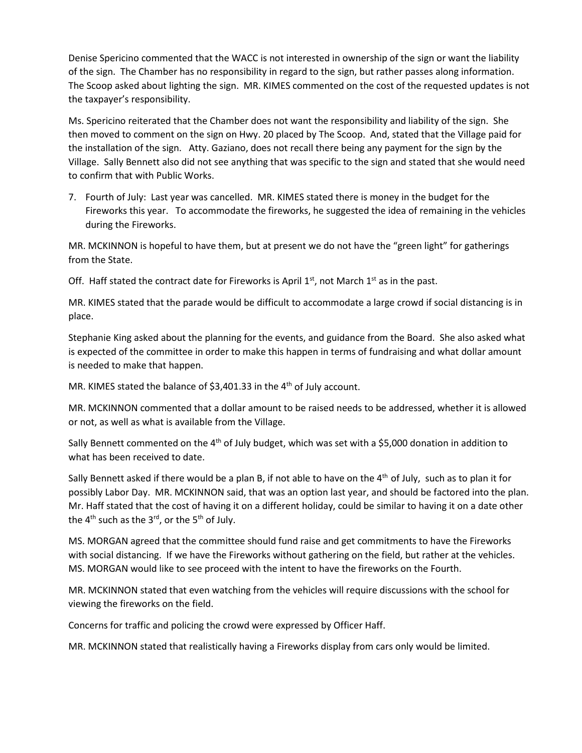Denise Spericino commented that the WACC is not interested in ownership of the sign or want the liability of the sign. The Chamber has no responsibility in regard to the sign, but rather passes along information. The Scoop asked about lighting the sign. MR. KIMES commented on the cost of the requested updates is not the taxpayer's responsibility.

Ms. Spericino reiterated that the Chamber does not want the responsibility and liability of the sign. She then moved to comment on the sign on Hwy. 20 placed by The Scoop. And, stated that the Village paid for the installation of the sign. Atty. Gaziano, does not recall there being any payment for the sign by the Village. Sally Bennett also did not see anything that was specific to the sign and stated that she would need to confirm that with Public Works.

7. Fourth of July: Last year was cancelled. MR. KIMES stated there is money in the budget for the Fireworks this year. To accommodate the fireworks, he suggested the idea of remaining in the vehicles during the Fireworks.

MR. MCKINNON is hopeful to have them, but at present we do not have the "green light" for gatherings from the State.

Off. Haff stated the contract date for Fireworks is April  $1^{st}$ , not March  $1^{st}$  as in the past.

MR. KIMES stated that the parade would be difficult to accommodate a large crowd if social distancing is in place.

Stephanie King asked about the planning for the events, and guidance from the Board. She also asked what is expected of the committee in order to make this happen in terms of fundraising and what dollar amount is needed to make that happen.

MR. KIMES stated the balance of \$3,401.33 in the 4<sup>th</sup> of July account.

MR. MCKINNON commented that a dollar amount to be raised needs to be addressed, whether it is allowed or not, as well as what is available from the Village.

Sally Bennett commented on the 4<sup>th</sup> of July budget, which was set with a \$5,000 donation in addition to what has been received to date.

Sally Bennett asked if there would be a plan B, if not able to have on the  $4<sup>th</sup>$  of July, such as to plan it for possibly Labor Day. MR. MCKINNON said, that was an option last year, and should be factored into the plan. Mr. Haff stated that the cost of having it on a different holiday, could be similar to having it on a date other the  $4^{th}$  such as the  $3^{rd}$ , or the  $5^{th}$  of July.

MS. MORGAN agreed that the committee should fund raise and get commitments to have the Fireworks with social distancing. If we have the Fireworks without gathering on the field, but rather at the vehicles. MS. MORGAN would like to see proceed with the intent to have the fireworks on the Fourth.

MR. MCKINNON stated that even watching from the vehicles will require discussions with the school for viewing the fireworks on the field.

Concerns for traffic and policing the crowd were expressed by Officer Haff.

MR. MCKINNON stated that realistically having a Fireworks display from cars only would be limited.